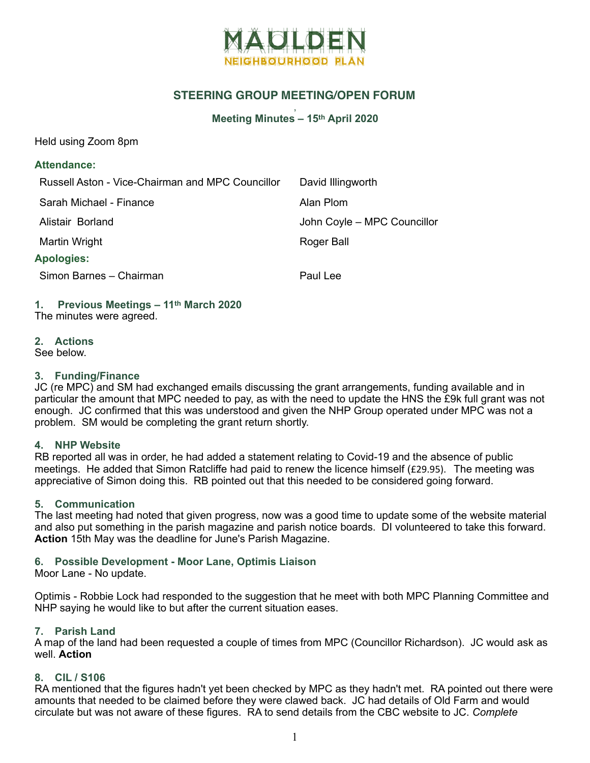

# **STEERING GROUP MEETING/OPEN FORUM**

#### , **Meeting Minutes – 15th April 2020**

Held using Zoom 8pm

## **Attendance:**

| Russell Aston - Vice-Chairman and MPC Councillor | David Illingworth           |
|--------------------------------------------------|-----------------------------|
| Sarah Michael - Finance                          | Alan Plom                   |
| Alistair Borland                                 | John Coyle - MPC Councillor |
| Martin Wright                                    | Roger Ball                  |
| <b>Apologies:</b>                                |                             |
| Simon Barnes - Chairman                          | Paul Lee                    |
|                                                  |                             |

# **1. Previous Meetings – 11th March 2020**

The minutes were agreed.

## **2. Actions**

See below.

## **3. Funding/Finance**

JC (re MPC) and SM had exchanged emails discussing the grant arrangements, funding available and in particular the amount that MPC needed to pay, as with the need to update the HNS the £9k full grant was not enough. JC confirmed that this was understood and given the NHP Group operated under MPC was not a problem. SM would be completing the grant return shortly.

## **4. NHP Website**

RB reported all was in order, he had added a statement relating to Covid-19 and the absence of public meetings. He added that Simon Ratcliffe had paid to renew the licence himself ( $£29.95$ ). The meeting was appreciative of Simon doing this. RB pointed out that this needed to be considered going forward.

#### **5. Communication**

The last meeting had noted that given progress, now was a good time to update some of the website material and also put something in the parish magazine and parish notice boards. DI volunteered to take this forward. **Action** 15th May was the deadline for June's Parish Magazine.

## **6. Possible Development - Moor Lane, Optimis Liaison**

Moor Lane - No update.

Optimis - Robbie Lock had responded to the suggestion that he meet with both MPC Planning Committee and NHP saying he would like to but after the current situation eases.

#### **7. Parish Land**

A map of the land had been requested a couple of times from MPC (Councillor Richardson). JC would ask as well. **Action** 

#### **8. CIL / S106**

RA mentioned that the figures hadn't yet been checked by MPC as they hadn't met. RA pointed out there were amounts that needed to be claimed before they were clawed back. JC had details of Old Farm and would circulate but was not aware of these figures. RA to send details from the CBC website to JC. *Complete*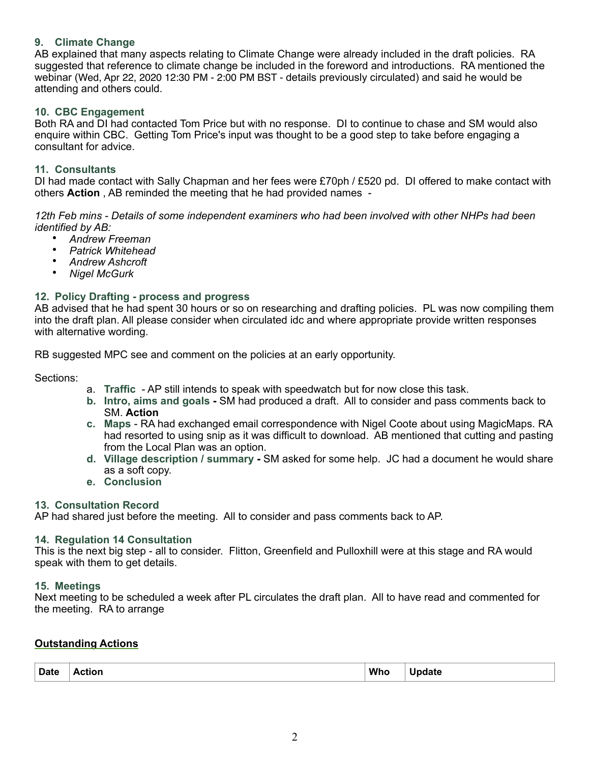## **9. Climate Change**

AB explained that many aspects relating to Climate Change were already included in the draft policies. RA suggested that reference to climate change be included in the foreword and introductions. RA mentioned the webinar (Wed, Apr 22, 2020 12:30 PM - 2:00 PM BST - details previously circulated) and said he would be attending and others could.

### **10. CBC Engagement**

Both RA and DI had contacted Tom Price but with no response. DI to continue to chase and SM would also enquire within CBC. Getting Tom Price's input was thought to be a good step to take before engaging a consultant for advice.

#### **11. Consultants**

DI had made contact with Sally Chapman and her fees were £70ph / £520 pd. DI offered to make contact with others **Action** , AB reminded the meeting that he had provided names -

*12th Feb mins - Details of some independent examiners who had been involved with other NHPs had been identified by AB:* 

- *Andrew Freeman*
- *Patrick Whitehead*
- *Andrew Ashcroft*
- *Nigel McGurk*

#### **12. Policy Drafting - process and progress**

AB advised that he had spent 30 hours or so on researching and drafting policies. PL was now compiling them into the draft plan. All please consider when circulated idc and where appropriate provide written responses with alternative wording.

RB suggested MPC see and comment on the policies at an early opportunity.

Sections:

- a. **Traffic**  AP still intends to speak with speedwatch but for now close this task.
- **b. Intro, aims and goals** SM had produced a draft. All to consider and pass comments back to SM. **Action**
- **c. Maps**  RA had exchanged email correspondence with Nigel Coote about using MagicMaps. RA had resorted to using snip as it was difficult to download. AB mentioned that cutting and pasting from the Local Plan was an option.
- **d. Village description / summary -** SM asked for some help. JC had a document he would share as a soft copy.
- **e. Conclusion**

#### **13. Consultation Record**

AP had shared just before the meeting. All to consider and pass comments back to AP.

#### **14. Regulation 14 Consultation**

This is the next big step - all to consider. Flitton, Greenfield and Pulloxhill were at this stage and RA would speak with them to get details.

#### **15. Meetings**

Next meeting to be scheduled a week after PL circulates the draft plan. All to have read and commented for the meeting. RA to arrange

#### **Outstanding Actions**

| Date<br><b>Action</b><br>---- | Who | odate<br>. |
|-------------------------------|-----|------------|
|-------------------------------|-----|------------|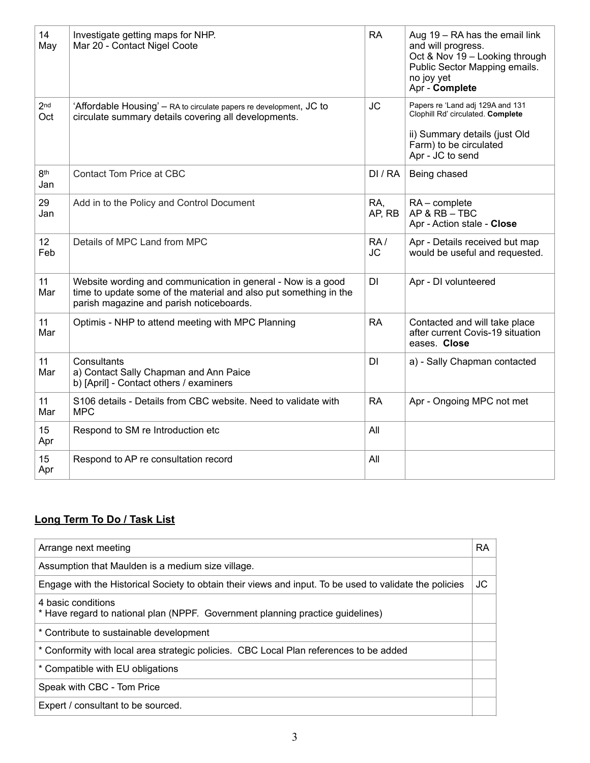| 14<br>May              | Investigate getting maps for NHP.<br>Mar 20 - Contact Nigel Coote                                                                                                             | <b>RA</b>        | Aug 19 - RA has the email link<br>and will progress.<br>Oct & Nov 19 - Looking through<br>Public Sector Mapping emails.<br>no joy yet<br>Apr - Complete |
|------------------------|-------------------------------------------------------------------------------------------------------------------------------------------------------------------------------|------------------|---------------------------------------------------------------------------------------------------------------------------------------------------------|
| 2 <sub>nd</sub><br>Oct | 'Affordable Housing' - RA to circulate papers re development, JC to<br>circulate summary details covering all developments.                                                   | <b>JC</b>        | Papers re 'Land adj 129A and 131<br>Clophill Rd' circulated. Complete<br>ii) Summary details (just Old<br>Farm) to be circulated<br>Apr - JC to send    |
| 8 <sup>th</sup><br>Jan | <b>Contact Tom Price at CBC</b>                                                                                                                                               | DI/RA            | Being chased                                                                                                                                            |
| 29<br>Jan              | Add in to the Policy and Control Document                                                                                                                                     | RA,<br>AP, RB    | $RA$ – complete<br>$AP & RB - TBC$<br>Apr - Action stale - Close                                                                                        |
| 12 <sub>2</sub><br>Feb | Details of MPC Land from MPC                                                                                                                                                  | RA/<br><b>JC</b> | Apr - Details received but map<br>would be useful and requested.                                                                                        |
| 11<br>Mar              | Website wording and communication in general - Now is a good<br>time to update some of the material and also put something in the<br>parish magazine and parish noticeboards. | DI               | Apr - DI volunteered                                                                                                                                    |
| 11<br>Mar              | Optimis - NHP to attend meeting with MPC Planning                                                                                                                             | <b>RA</b>        | Contacted and will take place<br>after current Covis-19 situation<br>eases. Close                                                                       |
| 11<br>Mar              | Consultants<br>a) Contact Sally Chapman and Ann Paice<br>b) [April] - Contact others / examiners                                                                              | <b>DI</b>        | a) - Sally Chapman contacted                                                                                                                            |
| 11<br>Mar              | S106 details - Details from CBC website. Need to validate with<br><b>MPC</b>                                                                                                  | <b>RA</b>        | Apr - Ongoing MPC not met                                                                                                                               |
| 15<br>Apr              | Respond to SM re Introduction etc                                                                                                                                             | All              |                                                                                                                                                         |
| 15<br>Apr              | Respond to AP re consultation record                                                                                                                                          | All              |                                                                                                                                                         |

# **Long Term To Do / Task List**

| Arrange next meeting                                                                                    | <b>RA</b> |
|---------------------------------------------------------------------------------------------------------|-----------|
| Assumption that Maulden is a medium size village.                                                       |           |
| Engage with the Historical Society to obtain their views and input. To be used to validate the policies | JС        |
| 4 basic conditions<br>* Have regard to national plan (NPPF. Government planning practice guidelines)    |           |
| * Contribute to sustainable development                                                                 |           |
| * Conformity with local area strategic policies. CBC Local Plan references to be added                  |           |
| * Compatible with EU obligations                                                                        |           |
| Speak with CBC - Tom Price                                                                              |           |
| Expert / consultant to be sourced.                                                                      |           |